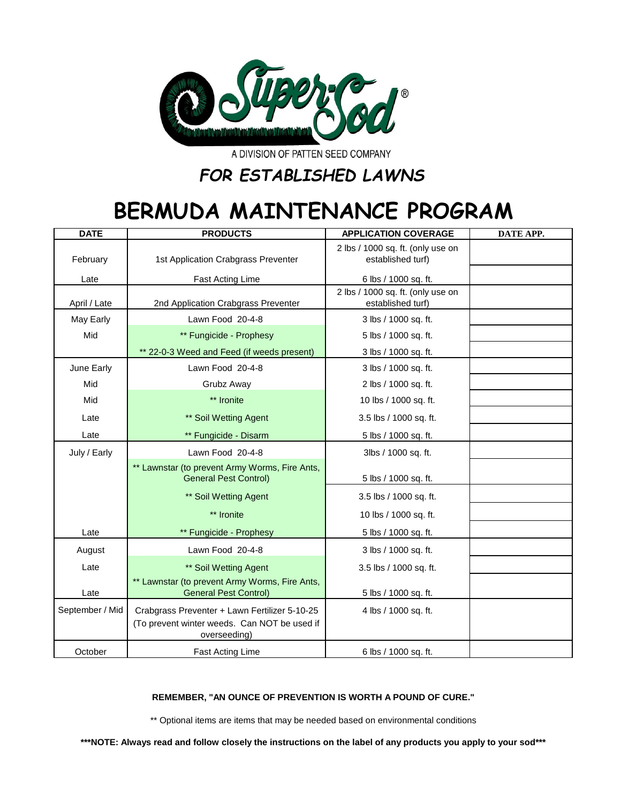

A DIVISION OF PATTEN SEED COMPANY

## *FOR ESTABLISHED LAWNS*

## **BERMUDA MAINTENANCE PROGRAM**

| <b>DATE</b>     | <b>PRODUCTS</b>                                                                                               | <b>APPLICATION COVERAGE</b>                            | DATE APP. |
|-----------------|---------------------------------------------------------------------------------------------------------------|--------------------------------------------------------|-----------|
| February        | 1st Application Crabgrass Preventer                                                                           | 2 lbs / 1000 sq. ft. (only use on<br>established turf) |           |
| Late            | <b>Fast Acting Lime</b>                                                                                       | 6 lbs / 1000 sq. ft.                                   |           |
| April / Late    | 2nd Application Crabgrass Preventer                                                                           | 2 lbs / 1000 sq. ft. (only use on<br>established turf) |           |
| May Early       | Lawn Food 20-4-8                                                                                              | 3 lbs / 1000 sq. ft.                                   |           |
| Mid             | ** Fungicide - Prophesy                                                                                       | 5 lbs / 1000 sq. ft.                                   |           |
|                 | ** 22-0-3 Weed and Feed (if weeds present)                                                                    | 3 lbs / 1000 sq. ft.                                   |           |
| June Early      | Lawn Food 20-4-8                                                                                              | 3 lbs / 1000 sq. ft.                                   |           |
| Mid             | Grubz Away                                                                                                    | 2 lbs / 1000 sq. ft.                                   |           |
| Mid             | ** Ironite                                                                                                    | 10 lbs / 1000 sq. ft.                                  |           |
| Late            | ** Soil Wetting Agent                                                                                         | 3.5 lbs / 1000 sq. ft.                                 |           |
| Late            | ** Fungicide - Disarm                                                                                         | 5 lbs / 1000 sq. ft.                                   |           |
| July / Early    | Lawn Food 20-4-8                                                                                              | 3lbs / 1000 sq. ft.                                    |           |
|                 | ** Lawnstar (to prevent Army Worms, Fire Ants,<br><b>General Pest Control)</b>                                | 5 lbs / 1000 sq. ft.                                   |           |
|                 | ** Soil Wetting Agent                                                                                         | 3.5 lbs / 1000 sq. ft.                                 |           |
|                 | ** Ironite                                                                                                    | 10 lbs / 1000 sq. ft.                                  |           |
| Late            | ** Fungicide - Prophesy                                                                                       | 5 lbs / 1000 sq. ft.                                   |           |
| August          | Lawn Food 20-4-8                                                                                              | 3 lbs / 1000 sq. ft.                                   |           |
| Late            | ** Soil Wetting Agent                                                                                         | 3.5 lbs / 1000 sq. ft.                                 |           |
| Late            | ** Lawnstar (to prevent Army Worms, Fire Ants,<br><b>General Pest Control)</b>                                | 5 lbs / 1000 sq. ft.                                   |           |
| September / Mid | Crabgrass Preventer + Lawn Fertilizer 5-10-25<br>(To prevent winter weeds. Can NOT be used if<br>overseeding) | 4 lbs / 1000 sq. ft.                                   |           |
| October         | <b>Fast Acting Lime</b>                                                                                       | 6 lbs / 1000 sq. ft.                                   |           |

## **REMEMBER, "AN OUNCE OF PREVENTION IS WORTH A POUND OF CURE."**

\*\* Optional items are items that may be needed based on environmental conditions

**\*\*\*NOTE: Always read and follow closely the instructions on the label of any products you apply to your sod\*\*\***